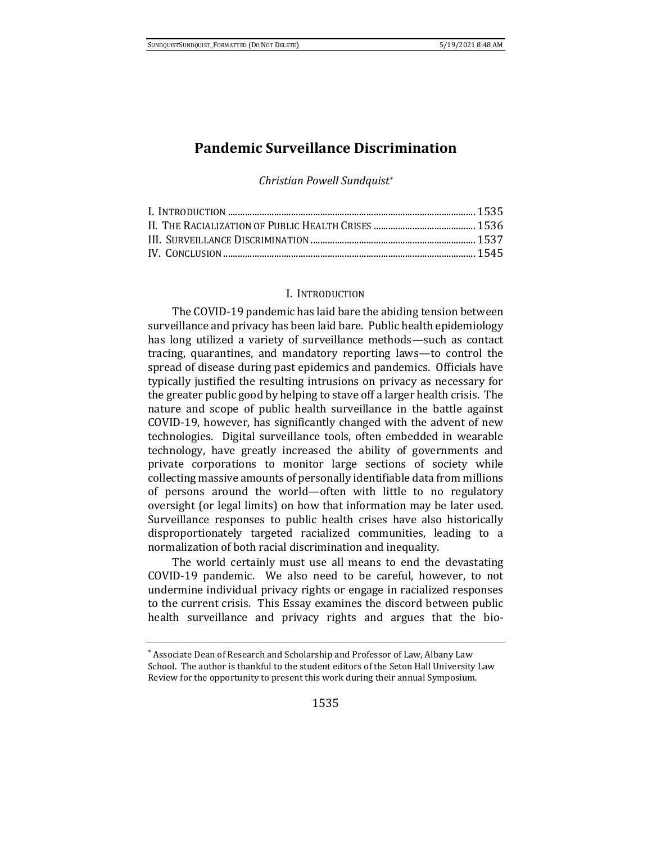# **Pandemic Surveillance Discrimination**

*Christian Powell Sundquist\**

#### I. INTRODUCTION

The COVID-19 pandemic has laid bare the abiding tension between surveillance and privacy has been laid bare. Public health epidemiology has long utilized a variety of surveillance methods—such as contact tracing, quarantines, and mandatory reporting laws—to control the spread of disease during past epidemics and pandemics. Officials have typically justified the resulting intrusions on privacy as necessary for the greater public good by helping to stave off a larger health crisis. The nature and scope of public health surveillance in the battle against COVID-19, however, has significantly changed with the advent of new technologies. Digital surveillance tools, often embedded in wearable technology, have greatly increased the ability of governments and private corporations to monitor large sections of society while collecting massive amounts of personally identifiable data from millions of persons around the world—often with little to no regulatory oversight (or legal limits) on how that information may be later used. Surveillance responses to public health crises have also historically disproportionately targeted racialized communities, leading to a normalization of both racial discrimination and inequality.

The world certainly must use all means to end the devastating COVID-19 pandemic. We also need to be careful, however, to not undermine individual privacy rights or engage in racialized responses to the current crisis. This Essay examines the discord between public health surveillance and privacy rights and argues that the bio-

<sup>\*</sup> Associate Dean of Research and Scholarship and Professor of Law, Albany Law School. The author is thankful to the student editors of the Seton Hall University Law Review for the opportunity to present this work during their annual Symposium.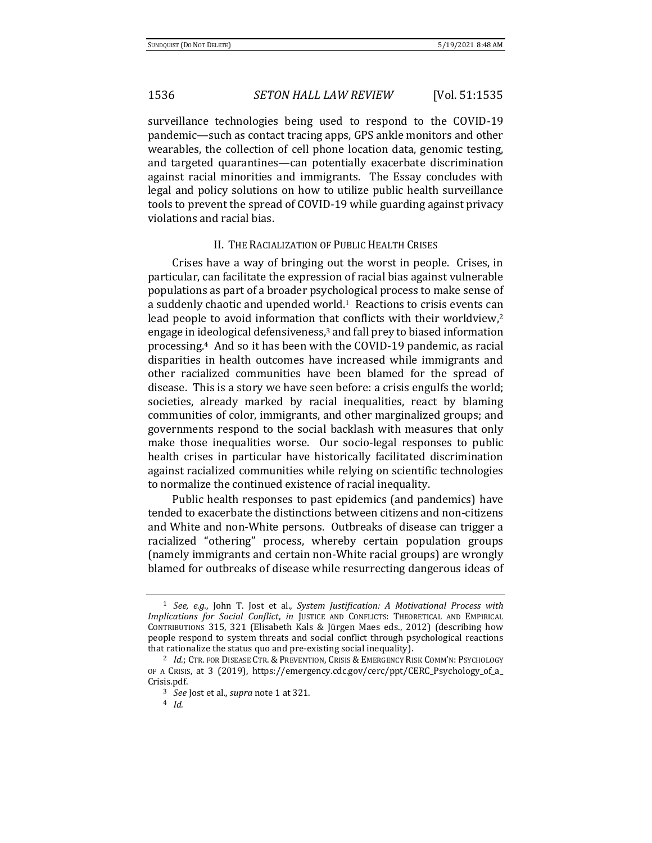surveillance technologies being used to respond to the COVID-19 pandemic—such as contact tracing apps, GPS ankle monitors and other wearables, the collection of cell phone location data, genomic testing, and targeted quarantines—can potentially exacerbate discrimination against racial minorities and immigrants. The Essay concludes with legal and policy solutions on how to utilize public health surveillance tools to prevent the spread of COVID-19 while guarding against privacy violations and racial bias.

## II. THE RACIALIZATION OF PUBLIC HEALTH CRISES

Crises have a way of bringing out the worst in people. Crises, in particular, can facilitate the expression of racial bias against vulnerable populations as part of a broader psychological process to make sense of a suddenly chaotic and upended world. $1$  Reactions to crisis events can lead people to avoid information that conflicts with their worldview,<sup>2</sup> engage in ideological defensiveness,<sup>3</sup> and fall prey to biased information processing.4 And so it has been with the COVID-19 pandemic, as racial disparities in health outcomes have increased while immigrants and other racialized communities have been blamed for the spread of disease. This is a story we have seen before: a crisis engulfs the world; societies, already marked by racial inequalities, react by blaming communities of color, immigrants, and other marginalized groups; and governments respond to the social backlash with measures that only make those inequalities worse. Our socio-legal responses to public health crises in particular have historically facilitated discrimination against racialized communities while relying on scientific technologies to normalize the continued existence of racial inequality.

Public health responses to past epidemics (and pandemics) have tended to exacerbate the distinctions between citizens and non-citizens and White and non-White persons. Outbreaks of disease can trigger a racialized "othering" process, whereby certain population groups (namely immigrants and certain non-White racial groups) are wrongly blamed for outbreaks of disease while resurrecting dangerous ideas of

<sup>1</sup> *See, e.g.*, John T. Jost et al., *System Justification: A Motivational Process with Implications for Social Conflict*, *in* JUSTICE AND CONFLICTS: THEORETICAL AND EMPIRICAL CONTRIBUTIONS 315, 321 (Elisabeth Kals & Jürgen Maes eds., 2012) (describing how people respond to system threats and social conflict through psychological reactions that rationalize the status quo and pre-existing social inequality).

<sup>2</sup> *Id.*; CTR. FOR DISEASE CTR. & PREVENTION, CRISIS & EMERGENCY RISK COMM'N: PSYCHOLOGY OF A CRISIS, at 3 (2019), https://emergency.cdc.gov/cerc/ppt/CERC\_Psychology\_of\_a\_ Crisis.pdf.

<sup>3</sup> *See* Jost et al., *supra* note 1 at 321.

<sup>4</sup> *Id.*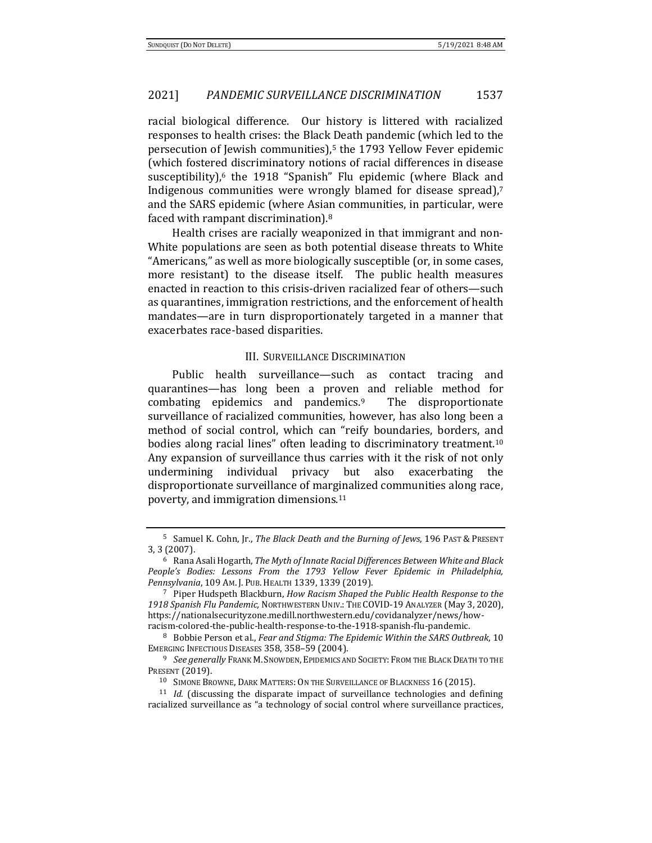racial biological difference. Our history is littered with racialized responses to health crises: the Black Death pandemic (which led to the persecution of Jewish communities),<sup>5</sup> the 1793 Yellow Fever epidemic (which fostered discriminatory notions of racial differences in disease susceptibility),<sup>6</sup> the 1918 "Spanish" Flu epidemic (where Black and Indigenous communities were wrongly blamed for disease spread),<sup>7</sup> and the SARS epidemic (where Asian communities, in particular, were faced with rampant discrimination).<sup>8</sup>

Health crises are racially weaponized in that immigrant and non-White populations are seen as both potential disease threats to White "Americans," as well as more biologically susceptible (or, in some cases, more resistant) to the disease itself. The public health measures enacted in reaction to this crisis-driven racialized fear of others—such as quarantines, immigration restrictions, and the enforcement of health mandates—are in turn disproportionately targeted in a manner that exacerbates race-based disparities.

#### III. SURVEILLANCE DISCRIMINATION

Public health surveillance—such as contact tracing and quarantines—has long been a proven and reliable method for combating epidemics and pandemics.9 The disproportionate surveillance of racialized communities, however, has also long been a method of social control, which can "reify boundaries, borders, and bodies along racial lines" often leading to discriminatory treatment.<sup>10</sup> Any expansion of surveillance thus carries with it the risk of not only undermining individual privacy but also exacerbating the disproportionate surveillance of marginalized communities along race, poverty, and immigration dimensions.<sup>11</sup>

<sup>5</sup> Samuel K. Cohn, Jr., *The Black Death and the Burning of Jews*, 196 PAST & PRESENT 3, 3 (2007).

<sup>6</sup> Rana Asali Hogarth, *The Myth of Innate Racial Differences Between White and Black People's Bodies: Lessons From the 1793 Yellow Fever Epidemic in Philadelphia, Pennsylvania*, 109 AM. J. PUB.HEALTH 1339, 1339 (2019).

<sup>7</sup> Piper Hudspeth Blackburn, *How Racism Shaped the Public Health Response to the 1918 Spanish Flu Pandemic,* NORTHWESTERN UNIV.: THE COVID-19 ANALYZER (May 3, 2020), https://nationalsecurityzone.medill.northwestern.edu/covidanalyzer/news/howracism-colored-the-public-health-response-to-the-1918-spanish-flu-pandemic.

<sup>8</sup> Bobbie Person et al., *Fear and Stigma: The Epidemic Within the SARS Outbreak*, 10 EMERGING INFECTIOUS DISEASES 358, 358–59 (2004).

<sup>&</sup>lt;sup>9</sup> See generally Frank M. Snowden, EPIDEMICS AND SOCIETY: FROM THE BLACK DEATH TO THE PRESENT (2019).

<sup>10</sup> SIMONE BROWNE, DARK MATTERS: ON THE SURVEILLANCE OF BLACKNESS 16 (2015).

<sup>11</sup> *Id.* (discussing the disparate impact of surveillance technologies and defining racialized surveillance as "a technology of social control where surveillance practices,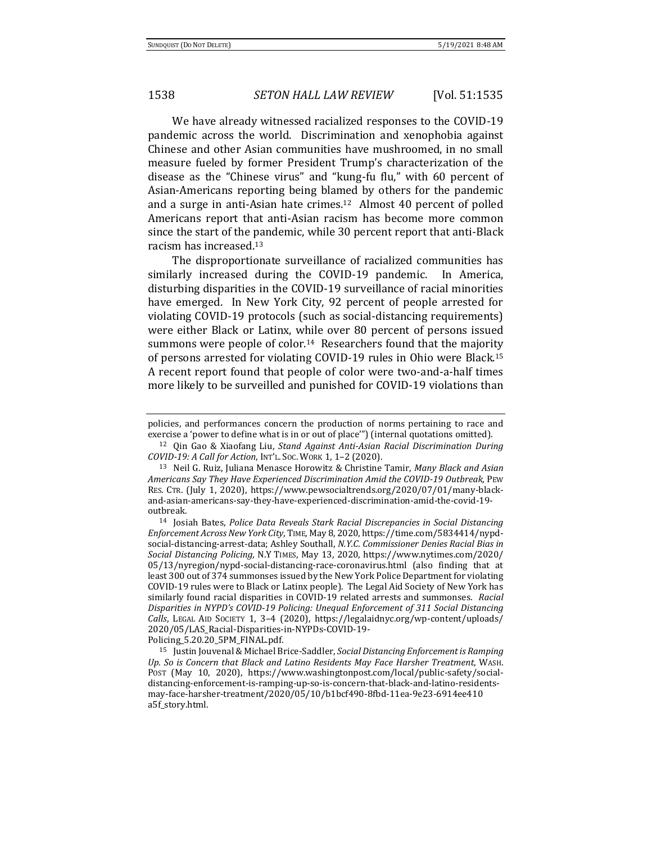We have already witnessed racialized responses to the COVID-19 pandemic across the world. Discrimination and xenophobia against Chinese and other Asian communities have mushroomed, in no small measure fueled by former President Trump's characterization of the disease as the "Chinese virus" and "kung-fu flu," with 60 percent of Asian-Americans reporting being blamed by others for the pandemic and a surge in anti-Asian hate crimes.12 Almost 40 percent of polled Americans report that anti-Asian racism has become more common since the start of the pandemic, while 30 percent report that anti-Black racism has increased.<sup>13</sup>

The disproportionate surveillance of racialized communities has similarly increased during the COVID-19 pandemic. In America, disturbing disparities in the COVID-19 surveillance of racial minorities have emerged. In New York City, 92 percent of people arrested for violating COVID-19 protocols (such as social-distancing requirements) were either Black or Latinx, while over 80 percent of persons issued summons were people of color.<sup>14</sup> Researchers found that the majority of persons arrested for violating COVID-19 rules in Ohio were Black.<sup>15</sup> A recent report found that people of color were two-and-a-half times more likely to be surveilled and punished for COVID-19 violations than

Policing\_5.20.20\_5PM\_FINAL.pdf.

policies, and performances concern the production of norms pertaining to race and exercise a 'power to define what is in or out of place'") (internal quotations omitted).

<sup>12</sup> Qin Gao & Xiaofang Liu, *Stand Against Anti-Asian Racial Discrimination During COVID-19: A Call for Action*, INT'L. SOC. WORK 1, 1–2 (2020).

<sup>13</sup> Neil G. Ruiz, Juliana Menasce Horowitz & Christine Tamir, *Many Black and Asian Americans Say They Have Experienced Discrimination Amid the COVID-19 Outbreak*, PEW RES. CTR. (July 1, 2020), https://www.pewsocialtrends.org/2020/07/01/many-blackand-asian-americans-say-they-have-experienced-discrimination-amid-the-covid-19 outbreak.

<sup>14</sup> Josiah Bates, *Police Data Reveals Stark Racial Discrepancies in Social Distancing Enforcement Across New York City*, TIME, May 8, 2020, https://time.com/5834414/nypdsocial-distancing-arrest-data; Ashley Southall, *N.Y.C. Commissioner Denies Racial Bias in Social Distancing Policing*, N.Y TIMES, May 13, 2020, https://www.nytimes.com/2020/ 05/13/nyregion/nypd-social-distancing-race-coronavirus.html (also finding that at least 300 out of 374 summonses issued by the New York Police Department for violating COVID-19 rules were to Black or Latinx people). The Legal Aid Society of New York has similarly found racial disparities in COVID-19 related arrests and summonses. *Racial Disparities in NYPD's COVID-19 Policing: Unequal Enforcement of 311 Social Distancing Calls*, LEGAL AID SOCIETY 1, 3–4 (2020), https://legalaidnyc.org/wp-content/uploads/ 2020/05/LAS\_Racial-Disparities-in-NYPDs-COVID-19-

<sup>15</sup> Justin Jouvenal & Michael Brice-Saddler, *Social Distancing Enforcement is Ramping Up. So is Concern that Black and Latino Residents May Face Harsher Treatment*, WASH. POST (May 10, 2020), https://www.washingtonpost.com/local/public-safety/socialdistancing-enforcement-is-ramping-up-so-is-concern-that-black-and-latino-residentsmay-face-harsher-treatment/2020/05/10/b1bcf490-8fbd-11ea-9e23-6914ee410 a5f\_story.html.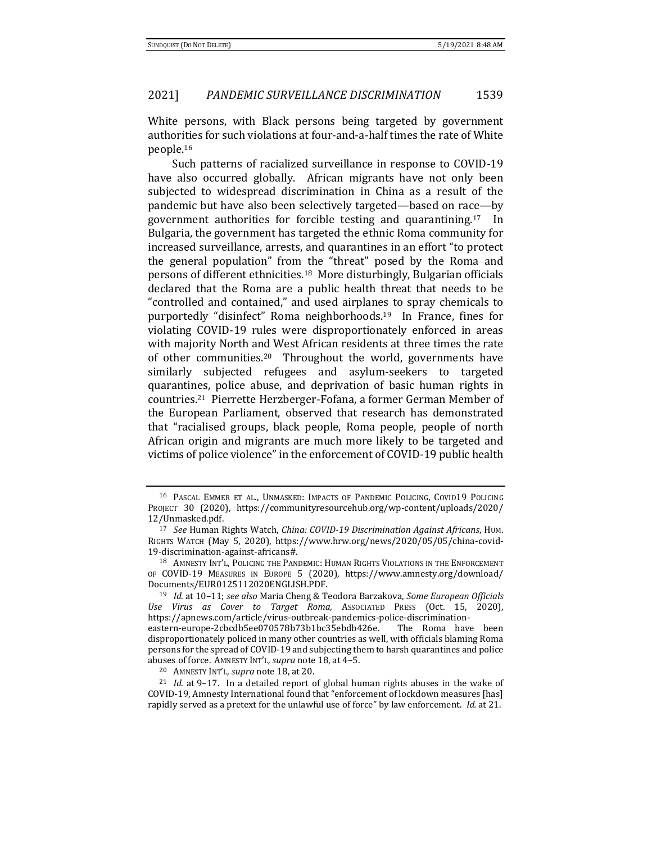White persons, with Black persons being targeted by government authorities for such violations at four-and-a-half times the rate of White people.<sup>16</sup>

Such patterns of racialized surveillance in response to COVID-19 have also occurred globally. African migrants have not only been subjected to widespread discrimination in China as a result of the pandemic but have also been selectively targeted—based on race—by government authorities for forcible testing and quarantining.17 In Bulgaria, the government has targeted the ethnic Roma community for increased surveillance, arrests, and quarantines in an effort "to protect the general population" from the "threat" posed by the Roma and persons of different ethnicities.18 More disturbingly, Bulgarian officials declared that the Roma are a public health threat that needs to be "controlled and contained," and used airplanes to spray chemicals to purportedly "disinfect" Roma neighborhoods.19 In France, fines for violating COVID-19 rules were disproportionately enforced in areas with majority North and West African residents at three times the rate of other communities.20 Throughout the world, governments have similarly subjected refugees and asylum-seekers to targeted quarantines, police abuse, and deprivation of basic human rights in countries.21 Pierrette Herzberger-Fofana, a former German Member of the European Parliament, observed that research has demonstrated that "racialised groups, black people, Roma people, people of north African origin and migrants are much more likely to be targeted and victims of police violence" in the enforcement of COVID-19 public health

<sup>16</sup> PASCAL EMMER ET AL., UNMASKED: IMPACTS OF PANDEMIC POLICING, COVID19 POLICING PROJECT 30 (2020), https://communityresourcehub.org/wp-content/uploads/2020/ 12/Unmasked.pdf.

<sup>17</sup> *See* Human Rights Watch, *China: COVID-19 Discrimination Against Africans*, HUM. RIGHTS WATCH (May 5, 2020), https://www.hrw.org/news/2020/05/05/china-covid-19-discrimination-against-africans#.

<sup>18</sup> AMNESTY INT'L, POLICING THE PANDEMIC: HUMAN RIGHTS VIOLATIONS IN THE ENFORCEMENT OF COVID-19 MEASURES IN EUROPE 5 (2020), https://www.amnesty.org/download/ Documents/EUR0125112020ENGLISH.PDF.

<sup>19</sup> *Id.* at 10–11; *see also* Maria Cheng & Teodora Barzakova, *Some European Officials Use Virus as Cover to Target Roma,* ASSOCIATED PRESS (Oct. 15, 2020), https://apnews.com/article/virus-outbreak-pandemics-police-discrimination-

eastern-europe-2cbcdb5ee070578b73b1bc35ebdb426e. The Roma have been disproportionately policed in many other countries as well, with officials blaming Roma persons for the spread of COVID-19 and subjecting them to harsh quarantines and police abuses of force. AMNESTY INT'L*, supra* note 18, at 4–5.

<sup>20</sup> AMNESTY INT'L, *supra* note 18, at 20.

<sup>21</sup> *Id.* at 9–17. In a detailed report of global human rights abuses in the wake of COVID-19, Amnesty International found that "enforcement of lockdown measures [has] rapidly served as a pretext for the unlawful use of force" by law enforcement. *Id.* at 21.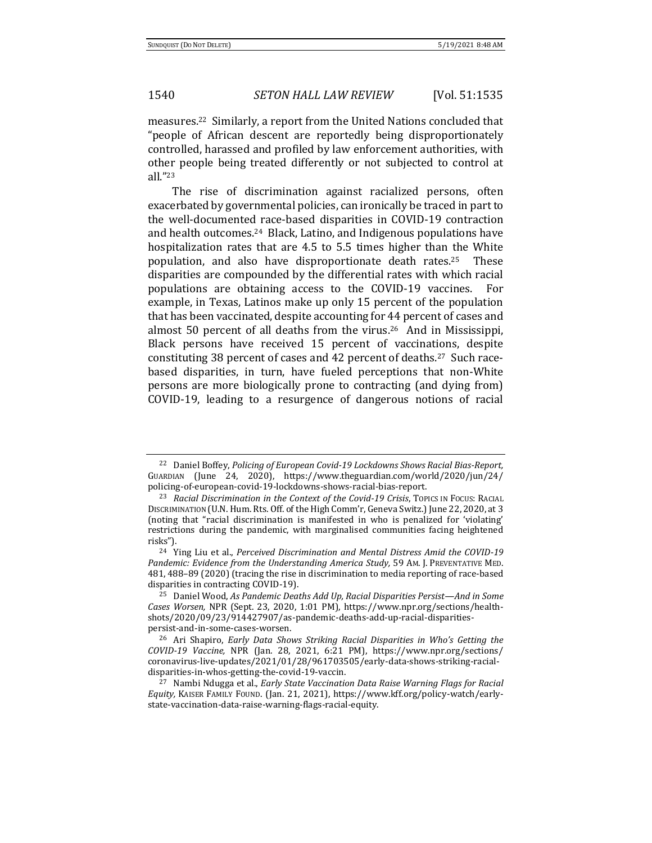measures.22 Similarly, a report from the United Nations concluded that "people of African descent are reportedly being disproportionately controlled, harassed and profiled by law enforcement authorities, with other people being treated differently or not subjected to control at all."<sup>23</sup>

The rise of discrimination against racialized persons, often exacerbated by governmental policies, can ironically be traced in part to the well-documented race-based disparities in COVID-19 contraction and health outcomes.24 Black, Latino, and Indigenous populations have hospitalization rates that are 4.5 to 5.5 times higher than the White population, and also have disproportionate death rates.25 These disparities are compounded by the differential rates with which racial populations are obtaining access to the COVID-19 vaccines. For example, in Texas, Latinos make up only 15 percent of the population that has been vaccinated, despite accounting for 44 percent of cases and almost 50 percent of all deaths from the virus.26 And in Mississippi, Black persons have received 15 percent of vaccinations, despite constituting 38 percent of cases and 42 percent of deaths.27 Such racebased disparities, in turn, have fueled perceptions that non-White persons are more biologically prone to contracting (and dying from) COVID-19, leading to a resurgence of dangerous notions of racial

<sup>22</sup> Daniel Boffey, *Policing of European Covid-19 Lockdowns Shows Racial Bias-Report,*  GUARDIAN (June 24, 2020), https://www.theguardian.com/world/2020/jun/24/ policing-of-european-covid-19-lockdowns-shows-racial-bias-report.

<sup>23</sup> *Racial Discrimination in the Context of the Covid-19 Crisis*, TOPICS IN FOCUS: RACIAL DISCRIMINATION (U.N. Hum. Rts. Off. of the High Comm'r, Geneva Switz.) June 22, 2020, at 3 (noting that "racial discrimination is manifested in who is penalized for 'violating' restrictions during the pandemic, with marginalised communities facing heightened risks").

<sup>24</sup> Ying Liu et al., *Perceived Discrimination and Mental Distress Amid the COVID-19*  Pandemic: Evidence from the Understanding America Study, 59 AM. J. PREVENTATIVE MED. 481, 488–89 (2020) (tracing the rise in discrimination to media reporting of race-based disparities in contracting COVID-19).

<sup>25</sup> Daniel Wood, *As Pandemic Deaths Add Up, Racial Disparities Persist—And in Some Cases Worsen,* NPR (Sept. 23, 2020, 1:01 PM), https://www.npr.org/sections/healthshots/2020/09/23/914427907/as-pandemic-deaths-add-up-racial-disparitiespersist-and-in-some-cases-worsen.

<sup>26</sup> Ari Shapiro, *Early Data Shows Striking Racial Disparities in Who's Getting the COVID-19 Vaccine,* NPR (Jan. 28, 2021, 6:21 PM), https://www.npr.org/sections/ coronavirus-live-updates/2021/01/28/961703505/early-data-shows-striking-racialdisparities-in-whos-getting-the-covid-19-vaccin.

<sup>27</sup> Nambi Ndugga et al., *Early State Vaccination Data Raise Warning Flags for Racial Equity,* KAISER FAMILY FOUND. (Jan. 21, 2021), https://www.kff.org/policy-watch/earlystate-vaccination-data-raise-warning-flags-racial-equity.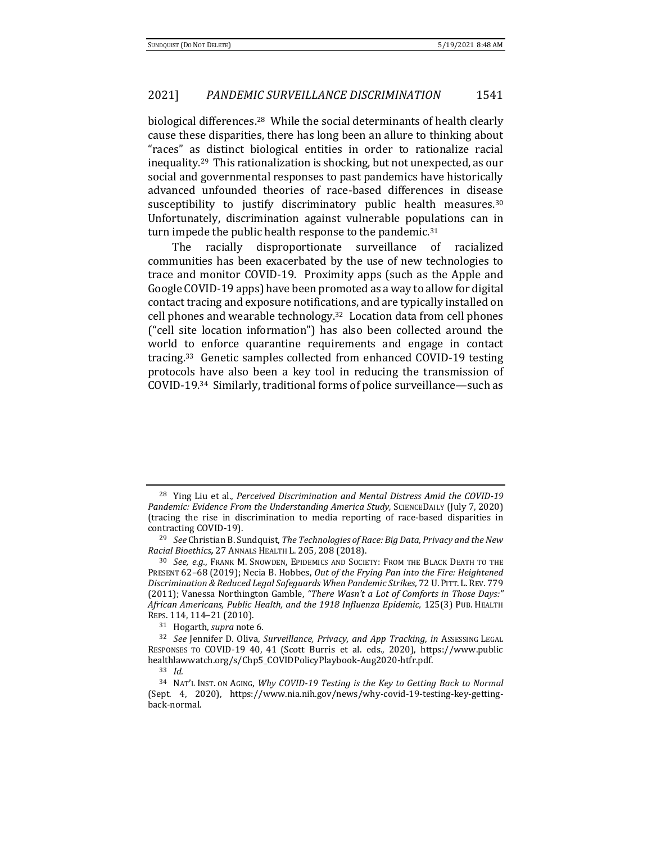biological differences.28 While the social determinants of health clearly cause these disparities, there has long been an allure to thinking about "races" as distinct biological entities in order to rationalize racial inequality.29 This rationalization is shocking, but not unexpected, as our social and governmental responses to past pandemics have historically advanced unfounded theories of race-based differences in disease susceptibility to justify discriminatory public health measures.<sup>30</sup> Unfortunately, discrimination against vulnerable populations can in turn impede the public health response to the pandemic.<sup>31</sup>

The racially disproportionate surveillance of racialized communities has been exacerbated by the use of new technologies to trace and monitor COVID-19. Proximity apps (such as the Apple and Google COVID-19 apps) have been promoted as a way to allow for digital contact tracing and exposure notifications, and are typically installed on cell phones and wearable technology.32 Location data from cell phones ("cell site location information") has also been collected around the world to enforce quarantine requirements and engage in contact tracing.33 Genetic samples collected from enhanced COVID-19 testing protocols have also been a key tool in reducing the transmission of COVID-19.34 Similarly, traditional forms of police surveillance—such as

<sup>28</sup> Ying Liu et al., *Perceived Discrimination and Mental Distress Amid the COVID-19 Pandemic: Evidence From the Understanding America Study, SCIENCEDAILY (July 7, 2020)* (tracing the rise in discrimination to media reporting of race-based disparities in contracting COVID-19).

<sup>29</sup> *See* Christian B. Sundquist, *The Technologies of Race: Big Data, Privacy and the New Racial Bioethics,* 27 ANNALS HEALTH L. 205, 208 (2018).

<sup>30</sup> *See, e.g.*, FRANK M. SNOWDEN, EPIDEMICS AND SOCIETY: FROM THE BLACK DEATH TO THE PRESENT 62–68 (2019); Necia B. Hobbes, *Out of the Frying Pan into the Fire: Heightened Discrimination & Reduced Legal Safeguards When Pandemic Strikes,* 72 U.PITT.L.REV. 779 (2011); Vanessa Northington Gamble, *"There Wasn't a Lot of Comforts in Those Days:" African Americans, Public Health, and the 1918 Influenza Epidemic,* 125(3) PUB. HEALTH REPS. 114, 114–21 (2010).

<sup>31</sup> Hogarth, *supra* note 6.

<sup>32</sup> *See* Jennifer D. Oliva, *Surveillance, Privacy, and App Tracking*, *in* ASSESSING LEGAL RESPONSES TO COVID-19 40, 41 (Scott Burris et al. eds., 2020), https://www.public healthlawwatch.org/s/Chp5\_COVIDPolicyPlaybook-Aug2020-htfr.pdf.

<sup>33</sup> *Id.*

<sup>34</sup> NAT'L INST. ON AGING, *Why COVID-19 Testing is the Key to Getting Back to Normal*  (Sept. 4, 2020), https://www.nia.nih.gov/news/why-covid-19-testing-key-gettingback-normal.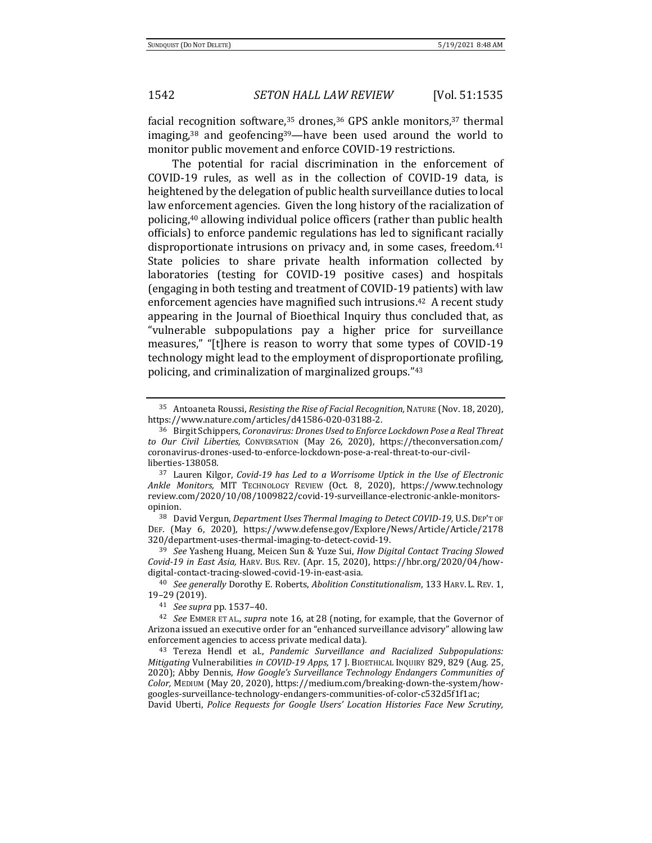facial recognition software,  $35$  drones,  $36$  GPS ankle monitors,  $37$  thermal imaging, $38$  and geofencing $39$ —have been used around the world to monitor public movement and enforce COVID-19 restrictions.

The potential for racial discrimination in the enforcement of COVID-19 rules, as well as in the collection of COVID-19 data, is heightened by the delegation of public health surveillance duties to local law enforcement agencies. Given the long history of the racialization of policing,<sup>40</sup> allowing individual police officers (rather than public health officials) to enforce pandemic regulations has led to significant racially disproportionate intrusions on privacy and, in some cases, freedom.<sup>41</sup> State policies to share private health information collected by laboratories (testing for COVID-19 positive cases) and hospitals (engaging in both testing and treatment of COVID-19 patients) with law enforcement agencies have magnified such intrusions.<sup>42</sup> A recent study appearing in the Journal of Bioethical Inquiry thus concluded that, as "vulnerable subpopulations pay a higher price for surveillance measures," "[t]here is reason to worry that some types of COVID-19 technology might lead to the employment of disproportionate profiling, policing, and criminalization of marginalized groups."<sup>43</sup>

<sup>38</sup> David Vergun, *Department Uses Thermal Imaging to Detect COVID-19,* U.S.DEP'T OF DEF. (May 6, 2020), https://www.defense.gov/Explore/News/Article/Article/2178 320/department-uses-thermal-imaging-to-detect-covid-19.

<sup>39</sup> *See* Yasheng Huang, Meicen Sun & Yuze Sui, *How Digital Contact Tracing Slowed Covid-19 in East Asia,* HARV. BUS. REV. (Apr. 15, 2020), https://hbr.org/2020/04/howdigital-contact-tracing-slowed-covid-19-in-east-asia.

<sup>35</sup> Antoaneta Roussi, *Resisting the Rise of Facial Recognition,* NATURE (Nov. 18, 2020), https://www.nature.com/articles/d41586-020-03188-2.

<sup>36</sup> Birgit Schippers, *Coronavirus: Drones Used to Enforce Lockdown Pose a Real Threat to Our Civil Liberties,* CONVERSATION (May 26, 2020), https://theconversation.com/ coronavirus-drones-used-to-enforce-lockdown-pose-a-real-threat-to-our-civilliberties-138058.

<sup>37</sup> Lauren Kilgor, *Covid-19 has Led to a Worrisome Uptick in the Use of Electronic Ankle Monitors,* MIT TECHNOLOGY REVIEW (Oct. 8, 2020), https://www.technology review.com/2020/10/08/1009822/covid-19-surveillance-electronic-ankle-monitorsopinion.

<sup>40</sup> *See generally* Dorothy E. Roberts, *Abolition Constitutionalism*, 133 HARV. L. REV. 1, 19–29 (2019).

<sup>41</sup> *See supra* pp. 1537–40.

<sup>42</sup> *See* EMMER ET AL., *supra* note 16, at 28 (noting, for example, that the Governor of Arizona issued an executive order for an "enhanced surveillance advisory" allowing law enforcement agencies to access private medical data).

<sup>43</sup> Tereza Hendl et al., *Pandemic Surveillance and Racialized Subpopulations: Mitigating* Vulnerabilities *in COVID-19 Apps,* 17 J. BIOETHICAL INQUIRY 829, 829 (Aug. 25, 2020); Abby Dennis, *How Google's Surveillance Technology Endangers Communities of Color,* MEDIUM (May 20, 2020), https://medium.com/breaking-down-the-system/howgoogles-surveillance-technology-endangers-communities-of-color-c532d5f1f1ac; David Uberti, *Police Requests for Google Users' Location Histories Face New Scrutiny,*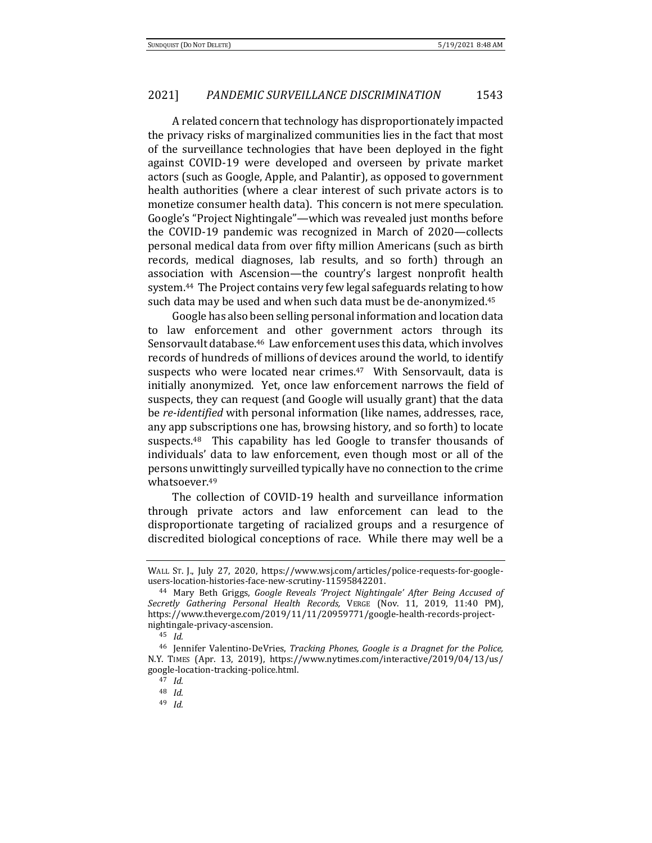A related concern that technology has disproportionately impacted the privacy risks of marginalized communities lies in the fact that most of the surveillance technologies that have been deployed in the fight against COVID-19 were developed and overseen by private market actors (such as Google, Apple, and Palantir), as opposed to government health authorities (where a clear interest of such private actors is to monetize consumer health data). This concern is not mere speculation. Google's "Project Nightingale"—which was revealed just months before the COVID-19 pandemic was recognized in March of 2020—collects personal medical data from over fifty million Americans (such as birth records, medical diagnoses, lab results, and so forth) through an association with Ascension—the country's largest nonprofit health system.44 The Project contains very few legal safeguards relating to how such data may be used and when such data must be de-anonymized.<sup>45</sup>

Google has also been selling personal information and location data to law enforcement and other government actors through its Sensorvault database.46 Law enforcement uses this data, which involves records of hundreds of millions of devices around the world, to identify suspects who were located near crimes.<sup>47</sup> With Sensorvault, data is initially anonymized. Yet, once law enforcement narrows the field of suspects, they can request (and Google will usually grant) that the data be *re-identified* with personal information (like names, addresses, race, any app subscriptions one has, browsing history, and so forth) to locate suspects.<sup>48</sup> This capability has led Google to transfer thousands of individuals' data to law enforcement, even though most or all of the persons unwittingly surveilled typically have no connection to the crime whatsoever.<sup>49</sup>

The collection of COVID-19 health and surveillance information through private actors and law enforcement can lead to the disproportionate targeting of racialized groups and a resurgence of discredited biological conceptions of race. While there may well be a

WALL ST. J., July 27, 2020, https://www.wsj.com/articles/police-requests-for-googleusers-location-histories-face-new-scrutiny-11595842201.

<sup>44</sup> Mary Beth Griggs, *Google Reveals 'Project Nightingale' After Being Accused of Secretly Gathering Personal Health Records,* VERGE (Nov. 11, 2019, 11:40 PM), https://www.theverge.com/2019/11/11/20959771/google-health-records-projectnightingale-privacy-ascension.

<sup>45</sup> *Id.*

<sup>46</sup> Jennifer Valentino-DeVries, *Tracking Phones, Google is a Dragnet for the Police,*  N.Y. TIMES (Apr. 13, 2019), https://www.nytimes.com/interactive/2019/04/13/us/ google-location-tracking-police.html.

<sup>47</sup> *Id.*

<sup>48</sup> *Id.*

<sup>49</sup> *Id.*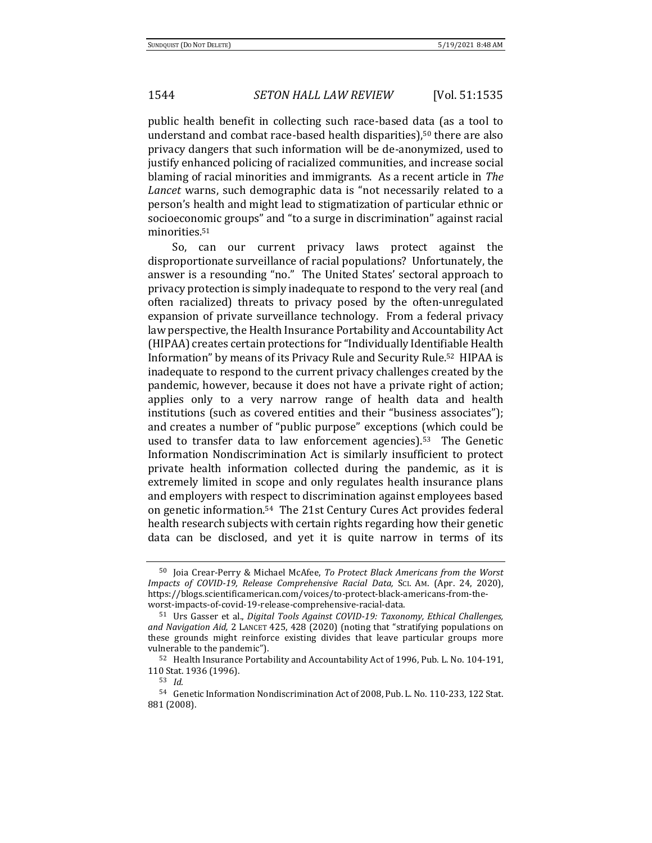public health benefit in collecting such race-based data (as a tool to understand and combat race-based health disparities),<sup>50</sup> there are also privacy dangers that such information will be de-anonymized, used to justify enhanced policing of racialized communities, and increase social blaming of racial minorities and immigrants. As a recent article in *The Lancet* warns, such demographic data is "not necessarily related to a person's health and might lead to stigmatization of particular ethnic or socioeconomic groups" and "to a surge in discrimination" against racial minorities.<sup>51</sup>

So, can our current privacy laws protect against the disproportionate surveillance of racial populations? Unfortunately, the answer is a resounding "no." The United States' sectoral approach to privacy protection is simply inadequate to respond to the very real (and often racialized) threats to privacy posed by the often-unregulated expansion of private surveillance technology. From a federal privacy law perspective, the Health Insurance Portability and Accountability Act (HIPAA) creates certain protections for "Individually Identifiable Health Information" by means of its Privacy Rule and Security Rule.52 HIPAA is inadequate to respond to the current privacy challenges created by the pandemic, however, because it does not have a private right of action; applies only to a very narrow range of health data and health institutions (such as covered entities and their "business associates"); and creates a number of "public purpose" exceptions (which could be used to transfer data to law enforcement agencies).53 The Genetic Information Nondiscrimination Act is similarly insufficient to protect private health information collected during the pandemic, as it is extremely limited in scope and only regulates health insurance plans and employers with respect to discrimination against employees based on genetic information.54 The 21st Century Cures Act provides federal health research subjects with certain rights regarding how their genetic data can be disclosed, and yet it is quite narrow in terms of its

<sup>50</sup> Joia Crear-Perry & Michael McAfee, *To Protect Black Americans from the Worst Impacts of COVID-19, Release Comprehensive Racial Data,* SCI. AM. (Apr. 24, 2020), https://blogs.scientificamerican.com/voices/to-protect-black-americans-from-theworst-impacts-of-covid-19-release-comprehensive-racial-data.

<sup>51</sup> Urs Gasser et al., *Digital Tools Against COVID-19: Taxonomy, Ethical Challenges, and Navigation Aid,* 2 LANCET 425, 428 (2020) (noting that "stratifying populations on these grounds might reinforce existing divides that leave particular groups more vulnerable to the pandemic").

<sup>52</sup> Health Insurance Portability and Accountability Act of 1996, Pub. L. No. 104-191, 110 Stat. 1936 (1996).

<sup>53</sup> *Id.*

<sup>54</sup> Genetic Information Nondiscrimination Act of 2008, Pub. L. No. 110-233, 122 Stat. 881 (2008).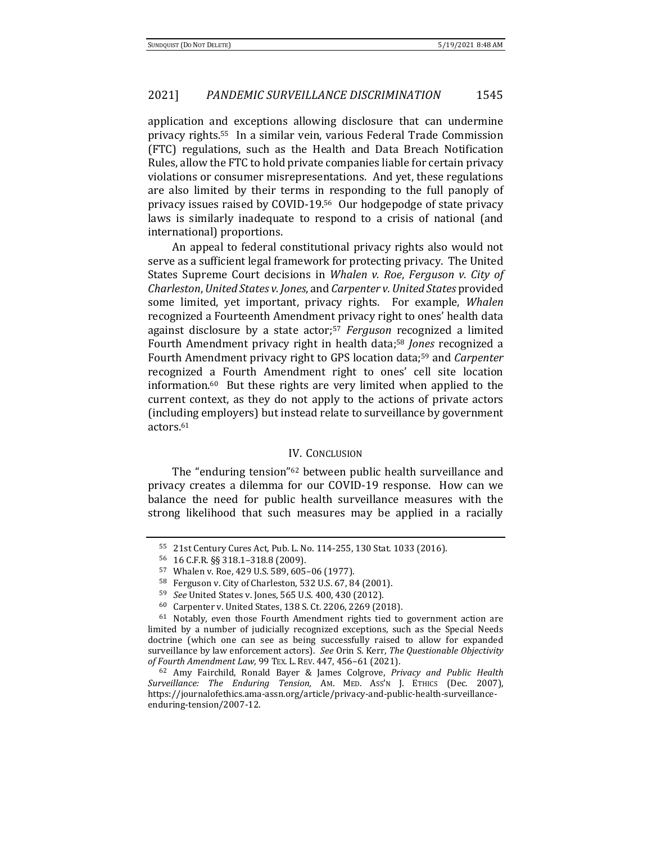application and exceptions allowing disclosure that can undermine privacy rights.55 In a similar vein, various Federal Trade Commission (FTC) regulations, such as the Health and Data Breach Notification Rules, allow the FTC to hold private companies liable for certain privacy violations or consumer misrepresentations. And yet, these regulations are also limited by their terms in responding to the full panoply of privacy issues raised by COVID-19.56 Our hodgepodge of state privacy laws is similarly inadequate to respond to a crisis of national (and international) proportions.

An appeal to federal constitutional privacy rights also would not serve as a sufficient legal framework for protecting privacy. The United States Supreme Court decisions in *Whalen v. Roe*, *Ferguson v. City of Charleston*, *United States v. Jones*, and *Carpenter v. United States* provided some limited, yet important, privacy rights. For example, *Whalen*  recognized a Fourteenth Amendment privacy right to ones' health data against disclosure by a state actor;<sup>57</sup> *Ferguson* recognized a limited Fourth Amendment privacy right in health data;<sup>58</sup> *Jones* recognized a Fourth Amendment privacy right to GPS location data;<sup>59</sup> and *Carpenter* recognized a Fourth Amendment right to ones' cell site location information.60 But these rights are very limited when applied to the current context, as they do not apply to the actions of private actors (including employers) but instead relate to surveillance by government actors.<sup>61</sup>

#### IV. CONCLUSION

The "enduring tension"<sup>62</sup> between public health surveillance and privacy creates a dilemma for our COVID-19 response. How can we balance the need for public health surveillance measures with the strong likelihood that such measures may be applied in a racially

<sup>55</sup> 21st Century Cures Act, Pub. L. No. 114-255, 130 Stat. 1033 (2016).

<sup>56</sup> 16 C.F.R. §§ 318.1–318.8 (2009).

<sup>57</sup> Whalen v. Roe, 429 U.S. 589, 605–06 (1977).

<sup>58</sup> Ferguson v. City of Charleston, 532 U.S. 67, 84 (2001).

<sup>59</sup> *See* United States v. Jones, 565 U.S. 400, 430 (2012).

<sup>60</sup> Carpenter v. United States, 138 S. Ct. 2206, 2269 (2018).

<sup>61</sup> Notably, even those Fourth Amendment rights tied to government action are limited by a number of judicially recognized exceptions, such as the Special Needs doctrine (which one can see as being successfully raised to allow for expanded surveillance by law enforcement actors). *See* Orin S. Kerr, *The Questionable Objectivity of Fourth Amendment Law,* 99 TEX. L. REV. 447, 456–61 (2021).

<sup>62</sup> Amy Fairchild, Ronald Bayer & James Colgrove, *Privacy and Public Health Surveillance: The Enduring Tension,* AM. MED. ASS'N J. ETHICS (Dec. 2007), https://journalofethics.ama-assn.org/article/privacy-and-public-health-surveillanceenduring-tension/2007-12.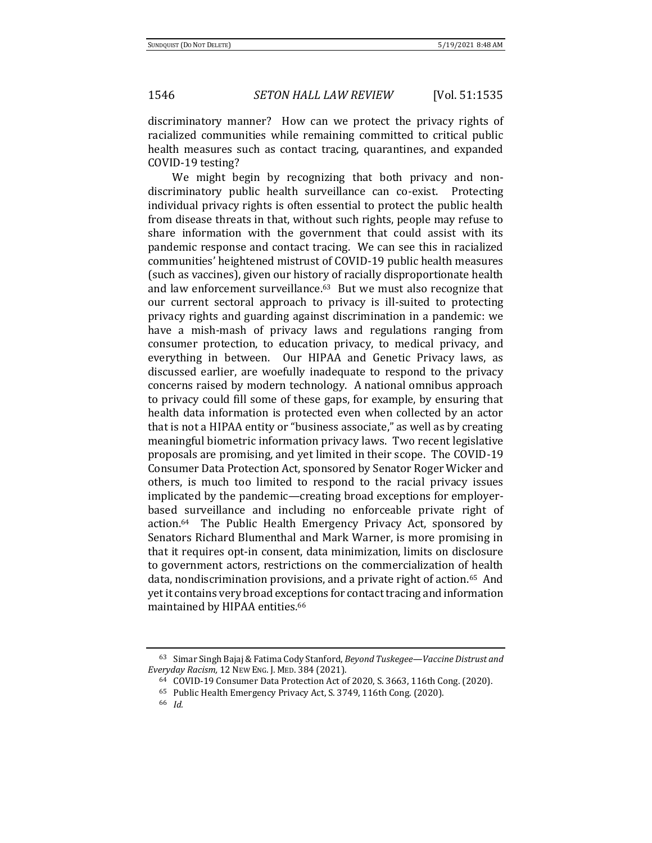discriminatory manner? How can we protect the privacy rights of racialized communities while remaining committed to critical public health measures such as contact tracing, quarantines, and expanded COVID-19 testing?

We might begin by recognizing that both privacy and nondiscriminatory public health surveillance can co-exist. Protecting individual privacy rights is often essential to protect the public health from disease threats in that, without such rights, people may refuse to share information with the government that could assist with its pandemic response and contact tracing. We can see this in racialized communities' heightened mistrust of COVID-19 public health measures (such as vaccines), given our history of racially disproportionate health and law enforcement surveillance.<sup>63</sup> But we must also recognize that our current sectoral approach to privacy is ill-suited to protecting privacy rights and guarding against discrimination in a pandemic: we have a mish-mash of privacy laws and regulations ranging from consumer protection, to education privacy, to medical privacy, and everything in between. Our HIPAA and Genetic Privacy laws, as discussed earlier, are woefully inadequate to respond to the privacy concerns raised by modern technology. A national omnibus approach to privacy could fill some of these gaps, for example, by ensuring that health data information is protected even when collected by an actor that is not a HIPAA entity or "business associate," as well as by creating meaningful biometric information privacy laws. Two recent legislative proposals are promising, and yet limited in their scope. The COVID-19 Consumer Data Protection Act, sponsored by Senator Roger Wicker and others, is much too limited to respond to the racial privacy issues implicated by the pandemic—creating broad exceptions for employerbased surveillance and including no enforceable private right of action.64 The Public Health Emergency Privacy Act, sponsored by Senators Richard Blumenthal and Mark Warner, is more promising in that it requires opt-in consent, data minimization, limits on disclosure to government actors, restrictions on the commercialization of health data, nondiscrimination provisions, and a private right of action.65 And yet it contains very broad exceptions for contact tracing and information maintained by HIPAA entities.<sup>66</sup>

<sup>63</sup> Simar Singh Bajaj & Fatima Cody Stanford, *Beyond Tuskegee—Vaccine Distrust and Everyday Racism,* 12 NEW ENG. J. MED. 384 (2021).

<sup>64</sup> COVID-19 Consumer Data Protection Act of 2020, S. 3663, 116th Cong. (2020).

<sup>65</sup> Public Health Emergency Privacy Act, S. 3749, 116th Cong. (2020).

<sup>66</sup> *Id.*